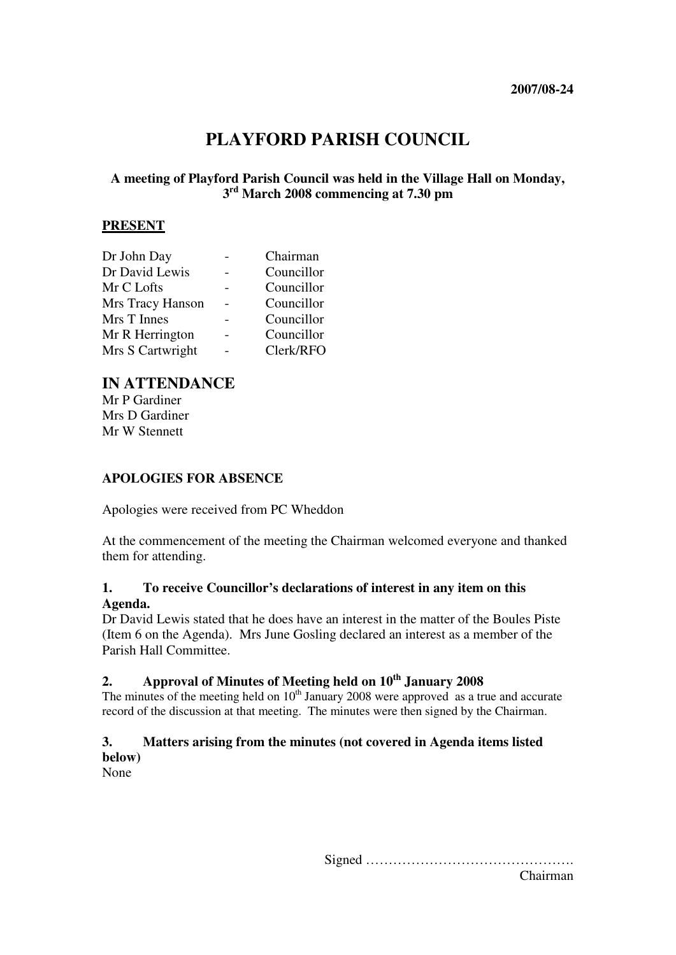# **PLAYFORD PARISH COUNCIL**

## **A meeting of Playford Parish Council was held in the Village Hall on Monday, 3 rd March 2008 commencing at 7.30 pm**

#### **PRESENT**

| Dr John Day      | Chairman   |
|------------------|------------|
| Dr David Lewis   | Councillor |
| Mr C Lofts       | Councillor |
| Mrs Tracy Hanson | Councillor |
| Mrs T Innes      | Councillor |
| Mr R Herrington  | Councillor |
| Mrs S Cartwright | Clerk/RFO  |

## **IN ATTENDANCE**

Mr P Gardiner Mrs D Gardiner Mr W Stennett

#### **APOLOGIES FOR ABSENCE**

Apologies were received from PC Wheddon

At the commencement of the meeting the Chairman welcomed everyone and thanked them for attending.

#### **1. To receive Councillor's declarations of interest in any item on this Agenda.**

Dr David Lewis stated that he does have an interest in the matter of the Boules Piste (Item 6 on the Agenda). Mrs June Gosling declared an interest as a member of the Parish Hall Committee.

# **2. Approval of Minutes of Meeting held on 10th January 2008**

The minutes of the meeting held on  $10<sup>th</sup>$  January 2008 were approved as a true and accurate record of the discussion at that meeting. The minutes were then signed by the Chairman.

## **3. Matters arising from the minutes (not covered in Agenda items listed below)**

None

Signed ………………………………………. Chairman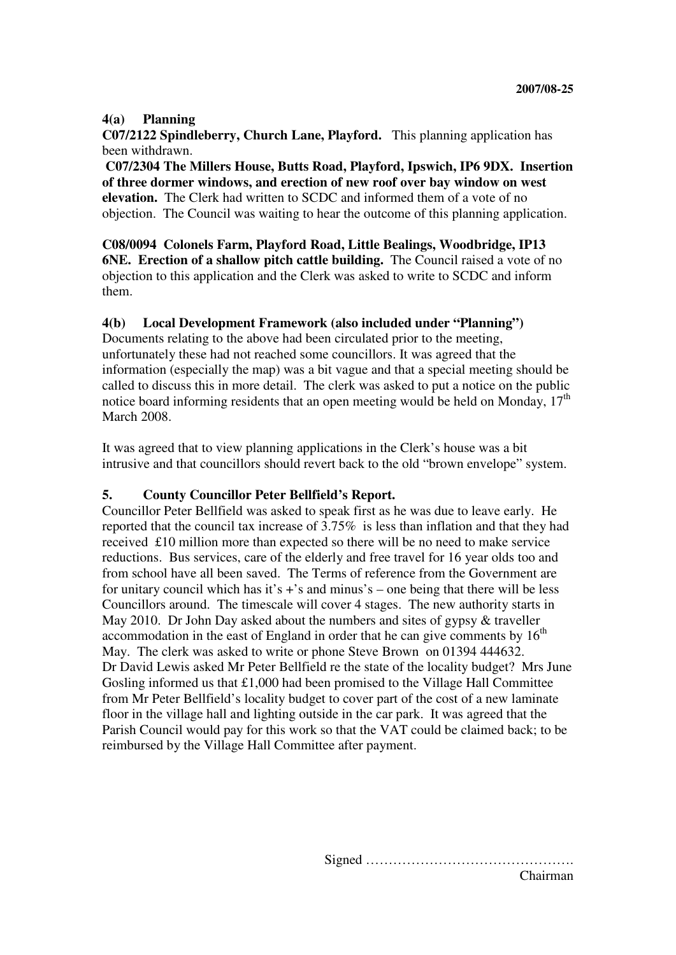### **4(a) Planning**

**C07/2122 Spindleberry, Church Lane, Playford.** This planning application has been withdrawn.

 **C07/2304 The Millers House, Butts Road, Playford, Ipswich, IP6 9DX. Insertion of three dormer windows, and erection of new roof over bay window on west elevation.** The Clerk had written to SCDC and informed them of a vote of no objection. The Council was waiting to hear the outcome of this planning application.

**C08/0094 Colonels Farm, Playford Road, Little Bealings, Woodbridge, IP13 6NE.** Erection of a shallow pitch cattle building. The Council raised a vote of no objection to this application and the Clerk was asked to write to SCDC and inform them.

### **4(b) Local Development Framework (also included under "Planning")**

Documents relating to the above had been circulated prior to the meeting, unfortunately these had not reached some councillors. It was agreed that the information (especially the map) was a bit vague and that a special meeting should be called to discuss this in more detail. The clerk was asked to put a notice on the public notice board informing residents that an open meeting would be held on Monday,  $17<sup>th</sup>$ March 2008.

It was agreed that to view planning applications in the Clerk's house was a bit intrusive and that councillors should revert back to the old "brown envelope" system.

### **5. County Councillor Peter Bellfield's Report.**

Councillor Peter Bellfield was asked to speak first as he was due to leave early. He reported that the council tax increase of 3.75% is less than inflation and that they had received £10 million more than expected so there will be no need to make service reductions. Bus services, care of the elderly and free travel for 16 year olds too and from school have all been saved. The Terms of reference from the Government are for unitary council which has it's  $+$ 's and minus's – one being that there will be less Councillors around. The timescale will cover 4 stages. The new authority starts in May 2010. Dr John Day asked about the numbers and sites of gypsy & traveller accommodation in the east of England in order that he can give comments by  $16<sup>th</sup>$ May. The clerk was asked to write or phone Steve Brown on 01394 444632. Dr David Lewis asked Mr Peter Bellfield re the state of the locality budget? Mrs June Gosling informed us that £1,000 had been promised to the Village Hall Committee from Mr Peter Bellfield's locality budget to cover part of the cost of a new laminate floor in the village hall and lighting outside in the car park. It was agreed that the Parish Council would pay for this work so that the VAT could be claimed back; to be reimbursed by the Village Hall Committee after payment.

> Signed ………………………………………. Chairman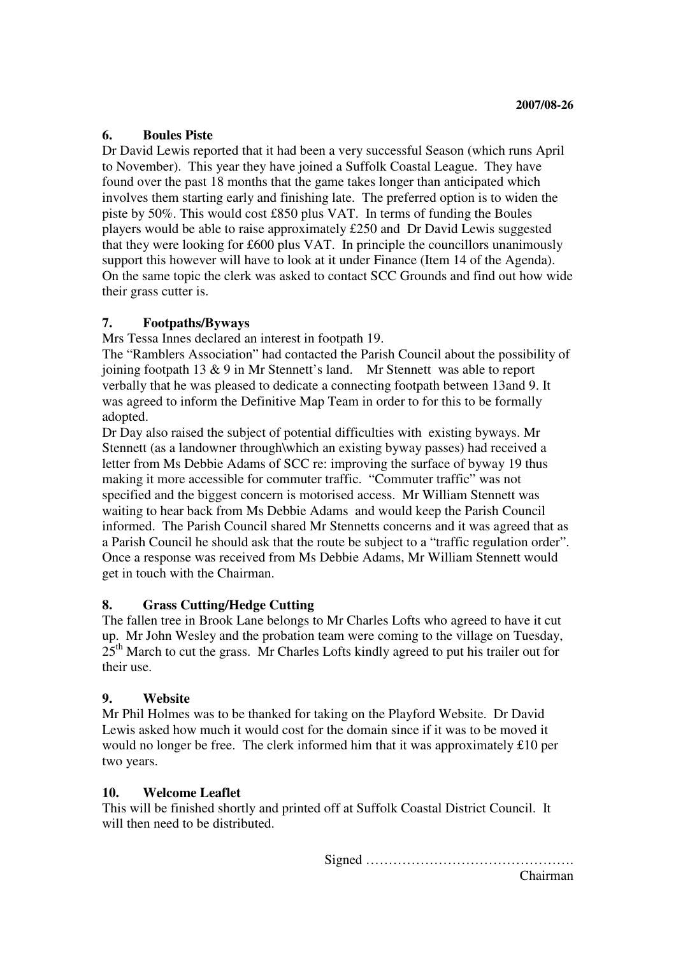#### **6. Boules Piste**

Dr David Lewis reported that it had been a very successful Season (which runs April to November). This year they have joined a Suffolk Coastal League. They have found over the past 18 months that the game takes longer than anticipated which involves them starting early and finishing late. The preferred option is to widen the piste by 50%. This would cost £850 plus VAT. In terms of funding the Boules players would be able to raise approximately £250 and Dr David Lewis suggested that they were looking for £600 plus VAT. In principle the councillors unanimously support this however will have to look at it under Finance (Item 14 of the Agenda). On the same topic the clerk was asked to contact SCC Grounds and find out how wide their grass cutter is.

### **7. Footpaths/Byways**

Mrs Tessa Innes declared an interest in footpath 19.

The "Ramblers Association" had contacted the Parish Council about the possibility of joining footpath 13 & 9 in Mr Stennett's land. Mr Stennett was able to report verbally that he was pleased to dedicate a connecting footpath between 13and 9. It was agreed to inform the Definitive Map Team in order to for this to be formally adopted.

Dr Day also raised the subject of potential difficulties with existing byways. Mr Stennett (as a landowner through\which an existing byway passes) had received a letter from Ms Debbie Adams of SCC re: improving the surface of byway 19 thus making it more accessible for commuter traffic. "Commuter traffic" was not specified and the biggest concern is motorised access. Mr William Stennett was waiting to hear back from Ms Debbie Adams and would keep the Parish Council informed. The Parish Council shared Mr Stennetts concerns and it was agreed that as a Parish Council he should ask that the route be subject to a "traffic regulation order". Once a response was received from Ms Debbie Adams, Mr William Stennett would get in touch with the Chairman.

### **8. Grass Cutting/Hedge Cutting**

The fallen tree in Brook Lane belongs to Mr Charles Lofts who agreed to have it cut up. Mr John Wesley and the probation team were coming to the village on Tuesday,  $25<sup>th</sup>$  March to cut the grass. Mr Charles Lofts kindly agreed to put his trailer out for their use.

### **9. Website**

Mr Phil Holmes was to be thanked for taking on the Playford Website. Dr David Lewis asked how much it would cost for the domain since if it was to be moved it would no longer be free. The clerk informed him that it was approximately £10 per two years.

### **10. Welcome Leaflet**

This will be finished shortly and printed off at Suffolk Coastal District Council. It will then need to be distributed.

Signed ……………………………………….